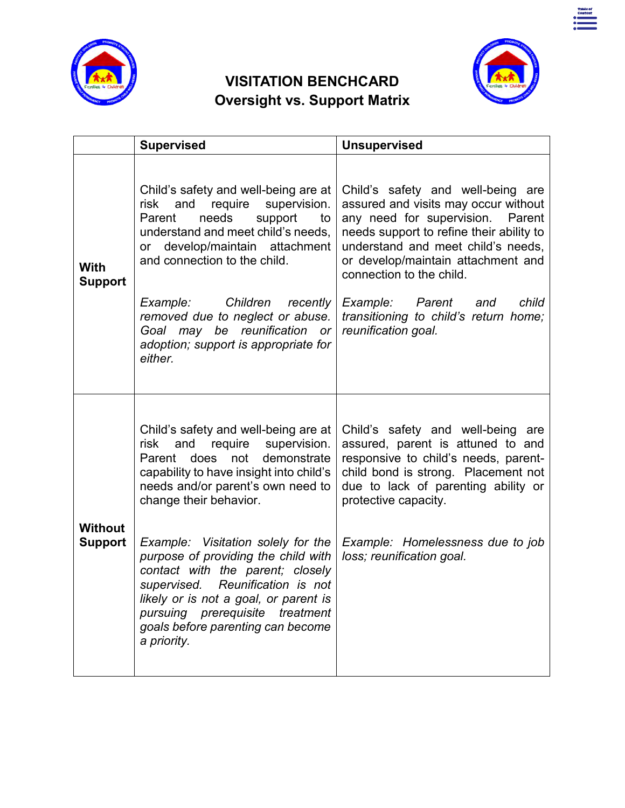

# **VISITATION BENCHCARD Oversight vs. Support Matrix**



|                                  | <b>Supervised</b>                                                                                                                                                                                                                                                                                                                                                                                                                                                                                         | <b>Unsupervised</b>                                                                                                                                                                                                                                                                                                                                                     |
|----------------------------------|-----------------------------------------------------------------------------------------------------------------------------------------------------------------------------------------------------------------------------------------------------------------------------------------------------------------------------------------------------------------------------------------------------------------------------------------------------------------------------------------------------------|-------------------------------------------------------------------------------------------------------------------------------------------------------------------------------------------------------------------------------------------------------------------------------------------------------------------------------------------------------------------------|
| With<br><b>Support</b>           | Child's safety and well-being are at<br>supervision.<br>and<br>require<br>risk<br>needs<br>support<br>Parent<br>to<br>understand and meet child's needs.<br>develop/maintain attachment<br>$\alpha$<br>and connection to the child.<br>Children<br>recently<br>Example:<br>removed due to neglect or abuse.<br>Goal may be reunification<br>or<br>adoption; support is appropriate for<br>either.                                                                                                         | Child's safety and well-being are<br>assured and visits may occur without<br>any need for supervision.<br>Parent<br>needs support to refine their ability to<br>understand and meet child's needs,<br>or develop/maintain attachment and<br>connection to the child.<br>Example: Parent<br>child<br>and<br>transitioning to child's return home;<br>reunification goal. |
| <b>Without</b><br><b>Support</b> | Child's safety and well-being are at<br>and require supervision.<br>risk<br>Parent does not<br>demonstrate<br>capability to have insight into child's<br>needs and/or parent's own need to<br>change their behavior.<br>Example: Visitation solely for the<br>purpose of providing the child with<br>contact with the parent; closely<br>supervised. Reunification is not<br>likely or is not a goal, or parent is<br>pursuing prerequisite treatment<br>goals before parenting can become<br>a priority. | Child's safety and well-being are<br>assured, parent is attuned to and<br>responsive to child's needs, parent-<br>child bond is strong. Placement not<br>due to lack of parenting ability or<br>protective capacity.<br>Example: Homelessness due to job<br>loss; reunification goal.                                                                                   |